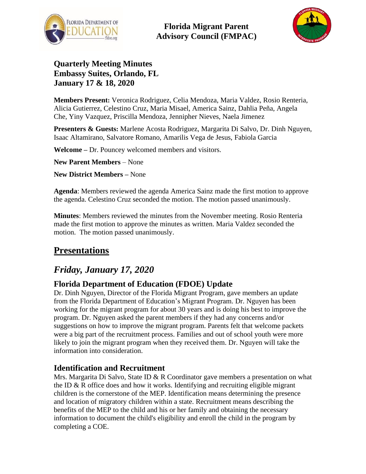

**Florida Migrant Parent Advisory Council (FMPAC)**



### **Quarterly Meeting Minutes Embassy Suites, Orlando, FL January 17 & 18, 2020**

**Members Present:** Veronica Rodriguez, Celia Mendoza, Maria Valdez, Rosio Renteria, Alicia Gutierrez, Celestino Cruz, Maria Misael, America Sainz, Dahlia Peña, Angela Che, Yiny Vazquez, Priscilla Mendoza, Jennipher Nieves, Naela Jimenez

**Presenters & Guests:** Marlene Acosta Rodriguez, Margarita Di Salvo, Dr. Dinh Nguyen, Isaac Altamirano, Salvatore Romano, Amarilis Vega de Jesus, Fabiola Garcia

**Welcome –** Dr. Pouncey welcomed members and visitors.

**New Parent Members** – None

**New District Members –** None

**Agenda**: Members reviewed the agenda America Sainz made the first motion to approve the agenda. Celestino Cruz seconded the motion. The motion passed unanimously.

**Minutes**: Members reviewed the minutes from the November meeting. Rosio Renteria made the first motion to approve the minutes as written. Maria Valdez seconded the motion. The motion passed unanimously.

# **Presentations**

# *Friday, January 17, 2020*

### **Florida Department of Education (FDOE) Update**

Dr. Dinh Nguyen, Director of the Florida Migrant Program, gave members an update from the Florida Department of Education's Migrant Program. Dr. Nguyen has been working for the migrant program for about 30 years and is doing his best to improve the program. Dr. Nguyen asked the parent members if they had any concerns and/or suggestions on how to improve the migrant program. Parents felt that welcome packets were a big part of the recruitment process. Families and out of school youth were more likely to join the migrant program when they received them. Dr. Nguyen will take the information into consideration.

### **Identification and Recruitment**

Mrs. Margarita Di Salvo, State ID & R Coordinator gave members a presentation on what the ID  $\&$  R office does and how it works. Identifying and recruiting eligible migrant children is the cornerstone of the MEP. Identification means determining the presence and location of migratory children within a state. Recruitment means describing the benefits of the MEP to the child and his or her family and obtaining the necessary information to document the child's eligibility and enroll the child in the program by completing a COE.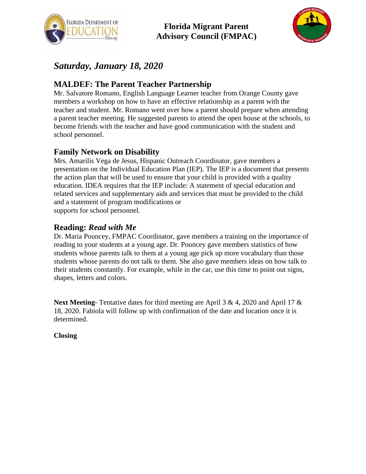



## *Saturday, January 18, 2020*

### **MALDEF: The Parent Teacher Partnership**

Mr. Salvatore Romano, English Language Learner teacher from Orange County gave members a workshop on how to have an effective relationship as a parent with the teacher and student. Mr. Romano went over how a parent should prepare when attending a parent teacher meeting. He suggested parents to attend the open house at the schools, to become friends with the teacher and have good communication with the student and school personnel.

#### **Family Network on Disability**

Mrs. Amarilis Vega de Jesus, Hispanic Outreach Coordinator, gave members a presentation on the Individual Education Plan (IEP). The IEP is a document that presents the action plan that will be used to ensure that your child is provided with a quality education. IDEA requires that the IEP include: A statement of special education and related services and supplementary aids and services that must be provided to the child and a statement of program modifications or supports for school personnel.

#### **Reading:** *Read with Me*

Dr. Maria Pouncey, FMPAC Coordinator, gave members a training on the importance of reading to your students at a young age. Dr. Pouncey gave members statistics of how students whose parents talk to them at a young age pick up more vocabulary than those students whose parents do not talk to them. She also gave members ideas on how talk to their students constantly. For example, while in the car, use this time to point out signs, shapes, letters and colors.

**Next Meeting**- Tentative dates for third meeting are April 3 & 4, 2020 and April 17 & 18, 2020. Fabiola will follow up with confirmation of the date and location once it is determined.

**Closing**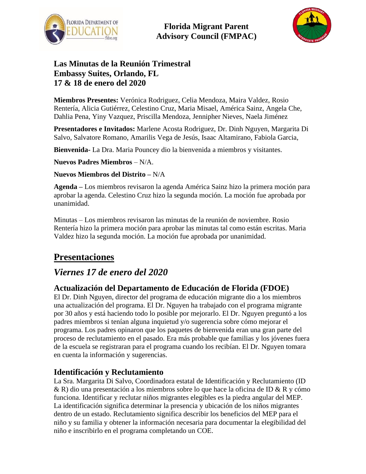

**Florida Migrant Parent Advisory Council (FMPAC)**



### **Las Minutas de la Reunión Trimestral Embassy Suites, Orlando, FL 17 & 18 de enero del 2020**

**Miembros Presentes:** Verónica Rodriguez, Celia Mendoza, Maira Valdez, Rosio Rentería, Alicia Gutiérrez, Celestino Cruz, Maria Misael, América Sainz, Angela Che, Dahlia Pena, Yiny Vazquez, Priscilla Mendoza, Jennipher Nieves, Naela Jiménez

**Presentadores e Invitados:** Marlene Acosta Rodriguez, Dr. Dinh Nguyen, Margarita Di Salvo, Salvatore Romano, Amarilis Vega de Jesús, Isaac Altamirano, Fabiola Garcia,

**Bienvenida-** La Dra. Maria Pouncey dio la bienvenida a miembros y visitantes.

**Nuevos Padres Miembros** – N/A.

**Nuevos Miembros del Distrito –** N/A

**Agenda –** Los miembros revisaron la agenda América Sainz hizo la primera moción para aprobar la agenda. Celestino Cruz hizo la segunda moción. La moción fue aprobada por unanimidad.

Minutas – Los miembros revisaron las minutas de la reunión de noviembre. Rosio Rentería hizo la primera moción para aprobar las minutas tal como están escritas. Maria Valdez hizo la segunda moción. La moción fue aprobada por unanimidad.

# **Presentaciones**

## *Viernes 17 de enero del 2020*

#### **Actualización del Departamento de Educación de Florida (FDOE)**

El Dr. Dinh Nguyen, director del programa de educación migrante dio a los miembros una actualización del programa. El Dr. Nguyen ha trabajado con el programa migrante por 30 años y está haciendo todo lo posible por mejorarlo. El Dr. Nguyen preguntó a los padres miembros si tenían alguna inquietud y/o sugerencia sobre cómo mejorar el programa. Los padres opinaron que los paquetes de bienvenida eran una gran parte del proceso de reclutamiento en el pasado. Era más probable que familias y los jóvenes fuera de la escuela se registraran para el programa cuando los recibían. El Dr. Nguyen tomara en cuenta la información y sugerencias.

#### **Identificación y Reclutamiento**

La Sra. Margarita Di Salvo, Coordinadora estatal de Identificación y Reclutamiento (ID & R) dio una presentación a los miembros sobre lo que hace la oficina de ID & R y cómo funciona. Identificar y reclutar niños migrantes elegibles es la piedra angular del MEP. La identificación significa determinar la presencia y ubicación de los niños migrantes dentro de un estado. Reclutamiento significa describir los beneficios del MEP para el niño y su familia y obtener la información necesaria para documentar la elegibilidad del niño e inscribirlo en el programa completando un COE.